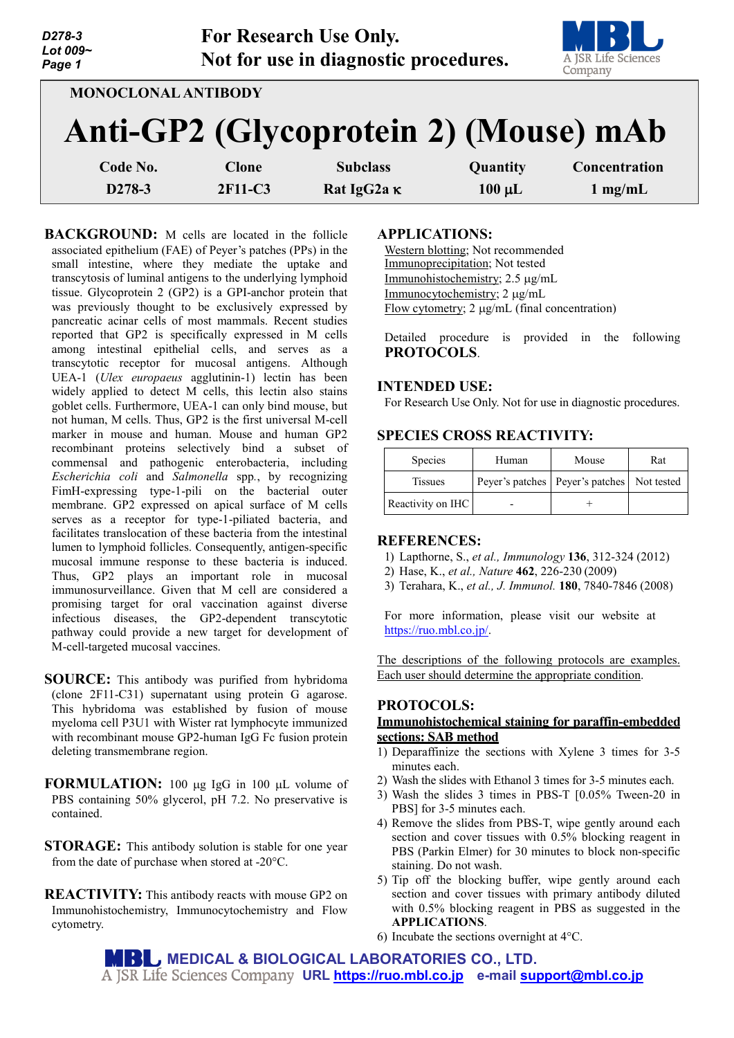| D278-3<br>Lot 009~<br>Page 1                                        |  |              | <b>For Research Use Only.</b><br>Not for use in diagnostic procedures. |             | A JSR Life Sciences<br>Company |  |  |  |  |
|---------------------------------------------------------------------|--|--------------|------------------------------------------------------------------------|-------------|--------------------------------|--|--|--|--|
| <b>MONOCLONAL ANTIBODY</b><br>Anti-GP2 (Glycoprotein 2) (Mouse) mAb |  |              |                                                                        |             |                                |  |  |  |  |
| Code No.                                                            |  | <b>Clone</b> | <b>Subclass</b>                                                        | Quantity    | Concentration                  |  |  |  |  |
| D278-3                                                              |  | 2F11-C3      | Rat IgG2a K                                                            | $100 \mu L$ | $1 \text{ mg/mL}$              |  |  |  |  |

**BACKGROUND:** M cells are located in the follicle associated epithelium (FAE) of Peyer's patches (PPs) in the small intestine, where they mediate the uptake and transcytosis of luminal antigens to the underlying lymphoid tissue. Glycoprotein 2 (GP2) is a GPI-anchor protein that was previously thought to be exclusively expressed by pancreatic acinar cells of most mammals. Recent studies reported that GP2 is specifically expressed in M cells among intestinal epithelial cells, and serves as a transcytotic receptor for mucosal antigens. Although UEA-1 (*Ulex europaeus* agglutinin-1) lectin has been widely applied to detect M cells, this lectin also stains goblet cells. Furthermore, UEA-1 can only bind mouse, but not human, M cells. Thus, GP2 is the first universal M-cell marker in mouse and human. Mouse and human GP2 recombinant proteins selectively bind a subset of commensal and pathogenic enterobacteria, including *Escherichia coli* and *Salmonella* spp*.*, by recognizing FimH-expressing type-1-pili on the bacterial outer membrane. GP2 expressed on apical surface of M cells serves as a receptor for type-1-piliated bacteria, and facilitates translocation of these bacteria from the intestinal lumen to lymphoid follicles. Consequently, antigen-specific mucosal immune response to these bacteria is induced. Thus, GP2 plays an important role in mucosal immunosurveillance. Given that M cell are considered a promising target for oral vaccination against diverse infectious diseases, the GP2-dependent transcytotic pathway could provide a new target for development of M-cell-targeted mucosal vaccines.

- **SOURCE:** This antibody was purified from hybridoma (clone 2F11-C31) supernatant using protein G agarose. This hybridoma was established by fusion of mouse myeloma cell P3U1 with Wister rat lymphocyte immunized with recombinant mouse GP2-human IgG Fc fusion protein deleting transmembrane region.
- **FORMULATION:** 100 µg IgG in 100 µL volume of PBS containing 50% glycerol, pH 7.2. No preservative is contained.
- **STORAGE:** This antibody solution is stable for one year from the date of purchase when stored at -20°C.
- **REACTIVITY:** This antibody reacts with mouse GP2 on Immunohistochemistry, Immunocytochemistry and Flow cytometry.

#### **APPLICATIONS:**

Western blotting; Not recommended Immunoprecipitation; Not tested Immunohistochemistry; 2.5 µg/mL Immunocytochemistry; 2 µg/mL Flow cytometry; 2 µg/mL (final concentration)

Detailed procedure is provided in the following **PROTOCOLS**.

### **INTENDED USE:**

For Research Use Only. Not for use in diagnostic procedures.

## **SPECIES CROSS REACTIVITY:**

| <b>Species</b>    | Human | Mouse                                          | Rat |
|-------------------|-------|------------------------------------------------|-----|
| <b>Tissues</b>    |       | Peyer's patches   Peyer's patches   Not tested |     |
| Reactivity on IHC |       |                                                |     |

#### **REFERENCES:**

- 1) Lapthorne, S., *et al., Immunology* **136**, 312-324 (2012)
- 2) Hase, K., *et al., Nature* **462**, 226-230 (2009)
- 3) Terahara, K., *et al., J. Immunol.* **180**, 7840-7846 (2008)

For more information, please visit our website at [https://ruo.mbl.co.jp/.](https://ruo.mbl.co.jp/)

The descriptions of the following protocols are examples. Each user should determine the appropriate condition.

### **PROTOCOLS:**

#### **Immunohistochemical staining for paraffin-embedded sections: SAB method**

- 1) Deparaffinize the sections with Xylene 3 times for 3-5 minutes each.
- 2) Wash the slides with Ethanol 3 times for 3-5 minutes each.
- 3) Wash the slides 3 times in PBS-T [0.05% Tween-20 in PBS] for 3-5 minutes each.
- 4) Remove the slides from PBS-T, wipe gently around each section and cover tissues with 0.5% blocking reagent in PBS (Parkin Elmer) for 30 minutes to block non-specific staining. Do not wash.
- 5) Tip off the blocking buffer, wipe gently around each section and cover tissues with primary antibody diluted with 0.5% blocking reagent in PBS as suggested in the **APPLICATIONS**.
- 6) Incubate the sections overnight at 4°C.

**MEDICAL & BIOLOGICAL LABORATORIES CO., LTD. URL [https://ruo.mbl.co.jp](https://ruo.mbl.co.jp/) e-mail [support@mbl.co.jp](mailto:support@mbl.co.jp)**